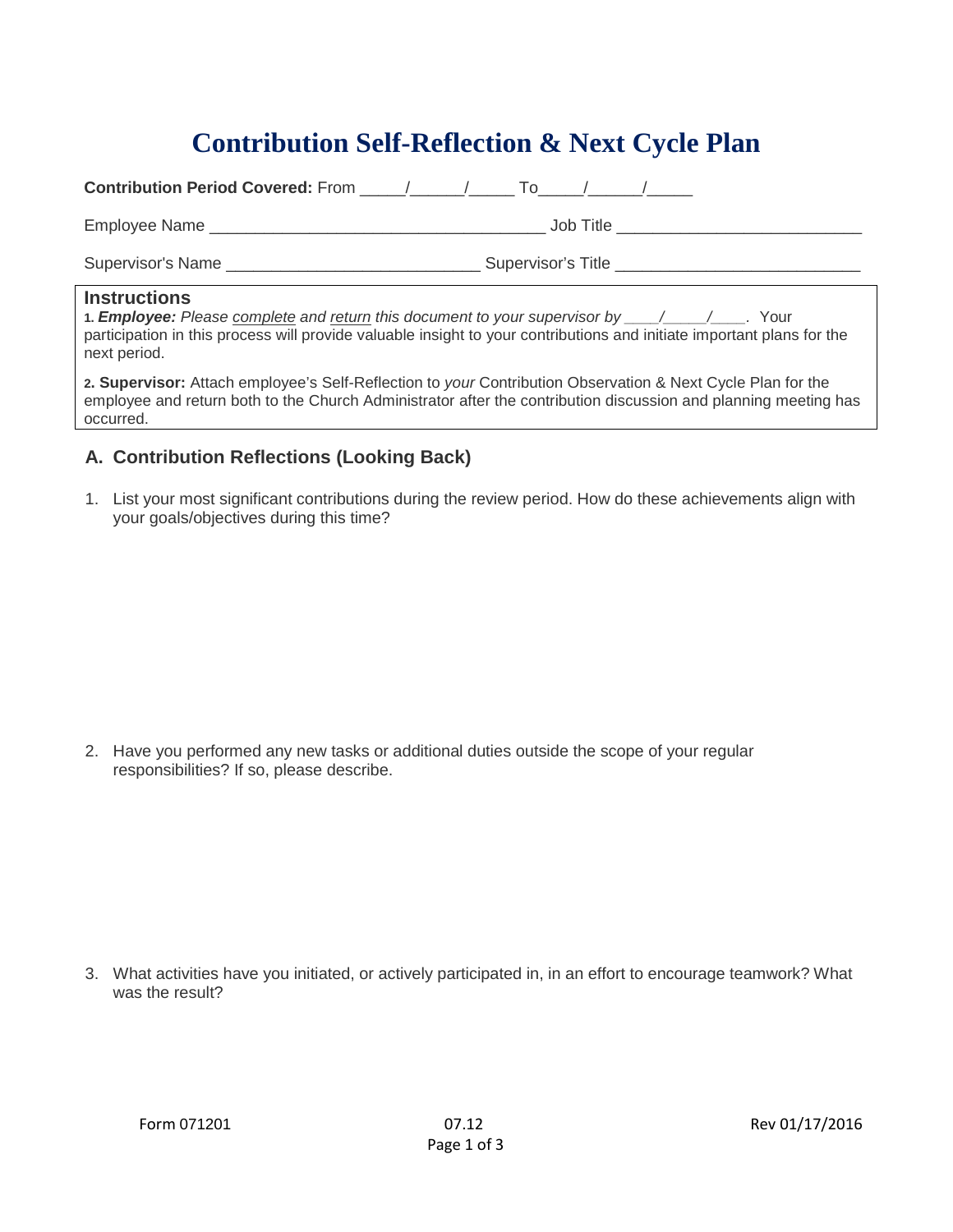## **Contribution Self-Reflection & Next Cycle Plan**

| <b>Contribution Period Covered:</b> From $\sqrt{2}$ / To $\sqrt{2}$                                                                                          |                                                                                                                        |
|--------------------------------------------------------------------------------------------------------------------------------------------------------------|------------------------------------------------------------------------------------------------------------------------|
|                                                                                                                                                              | Job Title _______________________________                                                                              |
| Supervisor's Name __________________________________Supervisor's Title __________                                                                            |                                                                                                                        |
| <b>Instructions</b><br>1. <b>Employee:</b> Please complete and return this document to your supervisor by $\frac{1}{\sqrt{2}}$ / $\frac{1}{\sqrt{2}}$ . Your | participation in this process will provide valuable insight to your contributions and initiate important plans for the |

**2. Supervisor:** Attach employee's Self-Reflection to *your* Contribution Observation & Next Cycle Plan for the employee and return both to the Church Administrator after the contribution discussion and planning meeting has occurred.

## **A. Contribution Reflections (Looking Back)**

next period.

1. List your most significant contributions during the review period. How do these achievements align with your goals/objectives during this time?

2. Have you performed any new tasks or additional duties outside the scope of your regular responsibilities? If so, please describe.

3. What activities have you initiated, or actively participated in, in an effort to encourage teamwork? What was the result?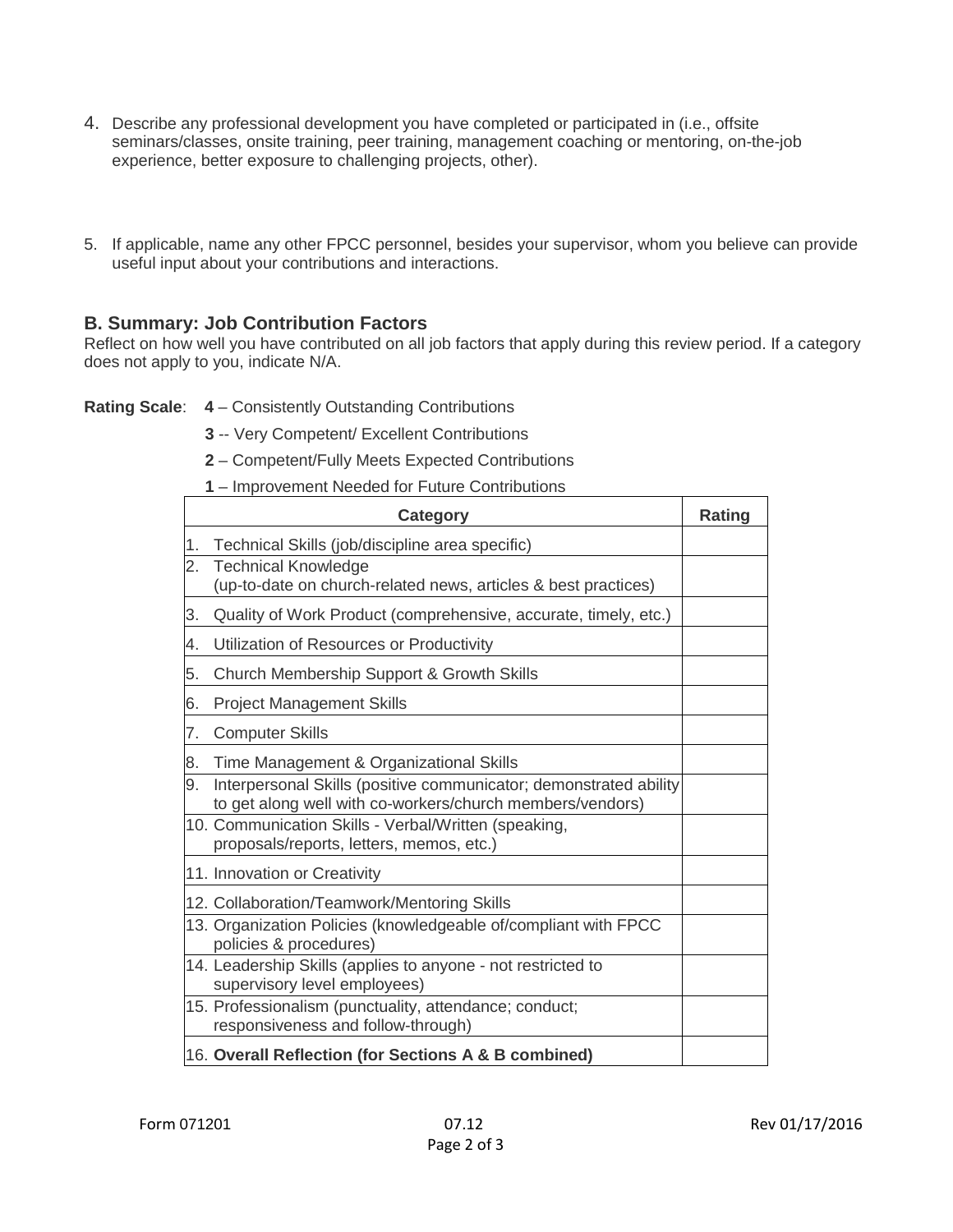- 4. Describe any professional development you have completed or participated in (i.e., offsite seminars/classes, onsite training, peer training, management coaching or mentoring, on-the-job experience, better exposure to challenging projects, other).
- 5. If applicable, name any other FPCC personnel, besides your supervisor, whom you believe can provide useful input about your contributions and interactions.

## **B. Summary: Job Contribution Factors**

Reflect on how well you have contributed on all job factors that apply during this review period. If a category does not apply to you, indicate N/A.

- **Rating Scale**: **4** Consistently Outstanding Contributions
	- **3** -- Very Competent/ Excellent Contributions
	- **2** Competent/Fully Meets Expected Contributions
	- **1** Improvement Needed for Future Contributions

|    | Category                                                                                                                       | <b>Rating</b> |
|----|--------------------------------------------------------------------------------------------------------------------------------|---------------|
| 1. | Technical Skills (job/discipline area specific)                                                                                |               |
| 2. | <b>Technical Knowledge</b><br>(up-to-date on church-related news, articles & best practices)                                   |               |
| 3. | Quality of Work Product (comprehensive, accurate, timely, etc.)                                                                |               |
| 4. | Utilization of Resources or Productivity                                                                                       |               |
| 5. | Church Membership Support & Growth Skills                                                                                      |               |
| 6. | <b>Project Management Skills</b>                                                                                               |               |
| 7. | <b>Computer Skills</b>                                                                                                         |               |
| 8. | Time Management & Organizational Skills                                                                                        |               |
| 9. | Interpersonal Skills (positive communicator; demonstrated ability<br>to get along well with co-workers/church members/vendors) |               |
|    | 10. Communication Skills - Verbal/Written (speaking,<br>proposals/reports, letters, memos, etc.)                               |               |
|    | 11. Innovation or Creativity                                                                                                   |               |
|    | 12. Collaboration/Teamwork/Mentoring Skills                                                                                    |               |
|    | 13. Organization Policies (knowledgeable of/compliant with FPCC<br>policies & procedures)                                      |               |
|    | 14. Leadership Skills (applies to anyone - not restricted to<br>supervisory level employees)                                   |               |
|    | 15. Professionalism (punctuality, attendance; conduct;<br>responsiveness and follow-through)                                   |               |
|    | 16. Overall Reflection (for Sections A & B combined)                                                                           |               |